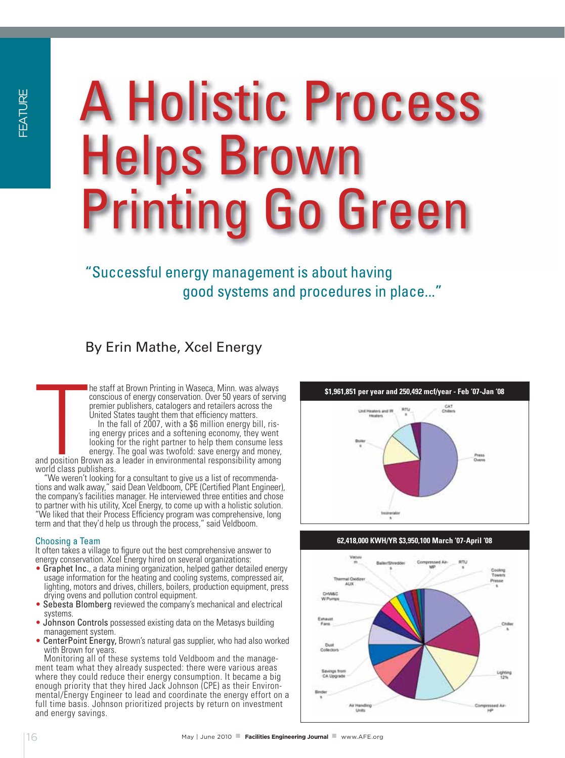# **May all the property management is about having Conditions and procedures in**<br>
A Holps Brown<br>  $\frac{1}{3}$  and systems and procedures in<br>
By Erin Mathe, Xeel Energy<br> **Experiment Action Actions AFERENT** A Holistic Process Helps Brown g Go Green

"Successful energy management is about having good systems and procedures in place..."

# By Erin Mathe, Xcel Energy

he staff at Brown Printing in Waseca, Minn. was always conscious of energy conservation. Over 50 years of serving premier publishers, catalogers and retailers across the United States taught them that efficiency matters.

In the fall of 2007, with a \$6 million energy bill, rising energy prices and a softening economy, they went looking for the right partner to help them consume less energy. The goal was twofold: save energy and money, and position Brown as a leader in environmental responsibility among

**THE**<br>The position Brand position<br>The State Sput<br>The State Sput world class publishers. "We weren't looking for a consultant to give us a list of recommendations and walk away," said Dean Veldboom, CPE (Certified Plant Engineer), the company's facilities manager. He interviewed three entities and chose to partner with his utility, Xcel Energy, to come up with a holistic solution. "We liked that their Process Efficiency program was comprehensive, long term and that they'd help us through the process," said Veldboom.

### Choosing a Team

It often takes a village to figure out the best comprehensive answer to energy conservation. Xcel Energy hired on several organizations:

- Graphet Inc., a data mining organization, helped gather detailed energy usage information for the heating and cooling systems, compressed air, lighting, motors and drives, chillers, boilers, production equipment, press drying ovens and pollution control equipment.
- Sebesta Blomberg reviewed the company's mechanical and electrical systems.
- Johnson Controls possessed existing data on the Metasys building management system.
- CenterPoint Energy, Brown's natural gas supplier, who had also worked with Brown for years.

Monitoring all of these systems told Veldboom and the management team what they already suspected: there were various areas where they could reduce their energy consumption. It became a big enough priority that they hired Jack Johnson (CPE) as their Environmental/Energy Engineer to lead and coordinate the energy effort on a full time basis. Johnson prioritized projects by return on investment and energy savings.



**62,418,000 KWH/YR \$3,950,100 March '07-April '08**



# **\$1,961,851 per year and 250,492 mcf/year - Feb '07-Jan '08**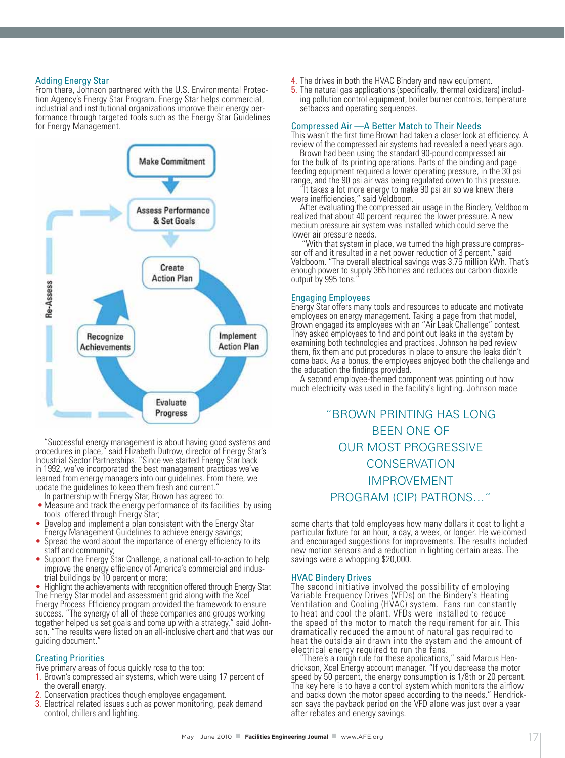### Adding Energy Star

From there, Johnson partnered with the U.S. Environmental Protection Agency's Energy Star Program. Energy Star helps commercial, industrial and institutional organizations improve their energy performance through targeted tools such as the Energy Star Guidelines for Energy Management.



"Successful energy management is about having good systems and procedures in place," said Elizabeth Dutrow, director of Energy Star's Industrial Sector Partnerships. "Since we started Energy Star back in 1992, we've incorporated the best management practices we've learned from energy managers into our guidelines. From there, we update the guidelines to keep them fresh and current."

In partnership with Energy Star, Brown has agreed to:

- Measure and track the energy performance of its facilities by using tools offered through Energy Star;
- Develop and implement a plan consistent with the Energy Star Energy Management Guidelines to achieve energy savings;
- Spread the word about the importance of energy efficiency to its staff and community;
- Support the Energy Star Challenge, a national call-to-action to help improve the energy efficiency of America's commercial and industrial buildings by 10 percent or more;

• Highlight the achievements with recognition offered through Energy Star. The Energy Star model and assessment grid along with the Xcel Energy Process Efficiency program provided the framework to ensure success. "The synergy of all of these companies and groups working together helped us set goals and come up with a strategy," said Johnson. "The results were listed on an all-inclusive chart and that was our guiding document."

## Creating Priorities

Five primary areas of focus quickly rose to the top:

- 1. Brown's compressed air systems, which were using 17 percent of the overall energy.
- 2. Conservation practices though employee engagement.
- 3. Electrical related issues such as power monitoring, peak demand control, chillers and lighting.
- 4. The drives in both the HVAC Bindery and new equipment.
- 5. The natural gas applications (specifically, thermal oxidizers) including pollution control equipment, boiler burner controls, temperature setbacks and operating sequences.

### Compressed Air —A Better Match to Their Needs

This wasn't the first time Brown had taken a closer look at efficiency. A review of the compressed air systems had revealed a need years ago.

Brown had been using the standard 90-pound compressed air for the bulk of its printing operations. Parts of the binding and page feeding equipment required a lower operating pressure, in the 30 psi range, and the 90 psi air was being regulated down to this pressure.

"It takes a lot more energy to make 90 psi air so we knew there were inefficiencies," said Veldboom.

After evaluating the compressed air usage in the Bindery, Veldboom realized that about 40 percent required the lower pressure. A new medium pressure air system was installed which could serve the lower air pressure needs.

 "With that system in place, we turned the high pressure compressor off and it resulted in a net power reduction of 3 percent," said Veldboom. "The overall electrical savings was 3.75 million kWh. That's enough power to supply 365 homes and reduces our carbon dioxide output by 995 tons.

### Engaging Employees

Energy Star offers many tools and resources to educate and motivate employees on energy management. Taking a page from that model, Brown engaged its employees with an "Air Leak Challenge" contest. They asked employees to find and point out leaks in the system by examining both technologies and practices. Johnson helped review them, fix them and put procedures in place to ensure the leaks didn't come back. As a bonus, the employees enjoyed both the challenge and the education the findings provided.

A second employee-themed component was pointing out how much electricity was used in the facility's lighting. Johnson made

# "BROWN PRINTING HAS LONG BEEN ONE OF OUR MOST PROGRESSIVE **CONSERVATION** IMPROVEMENT PROGRAM (CIP) PATRONS…"

some charts that told employees how many dollars it cost to light a particular fixture for an hour, a day, a week, or longer. He welcomed and encouraged suggestions for improvements. The results included new motion sensors and a reduction in lighting certain areas. The savings were a whopping \$20,000.

### HVAC Bindery Drives

The second initiative involved the possibility of employing Variable Frequency Drives (VFDs) on the Bindery's Heating Ventilation and Cooling (HVAC) system. Fans run constantly to heat and cool the plant. VFDs were installed to reduce the speed of the motor to match the requirement for air. This dramatically reduced the amount of natural gas required to heat the outside air drawn into the system and the amount of electrical energy required to run the fans.

There's a rough rule for these applications," said Marcus Hendrickson, Xcel Energy account manager. "If you decrease the motor speed by 50 percent, the energy consumption is 1/8th or 20 percent. The key here is to have a control system which monitors the airflow and backs down the motor speed according to the needs." Hendrickson says the payback period on the VFD alone was just over a year after rebates and energy savings.